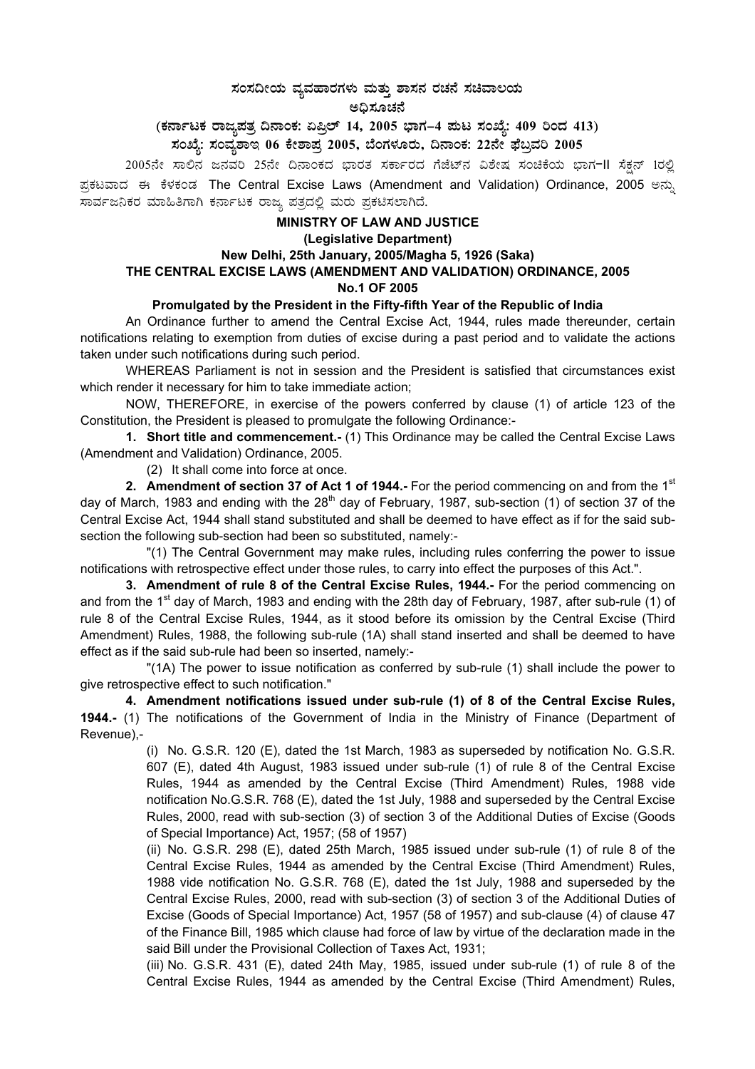# $\,$ ಸಂಸದೀಯ ವ್ಯವಹಾರಗಳು ಮತ್ತು ಶಾಸನ ರಚನೆ ಸಚಿವಾಲಯ

#### ಅಧಿಸೂಚನೆ

(ಕರ್ನಾಟಕ ರಾಜ್ಯಪತ್ರ ದಿನಾಂಕ: ಏಪ್ರಿಲ್ 14, 2005 ಭಾಗ–4 **ಮಟ ಸಂಖ್ಯೆ: 409 ರಿಂದ 413**)

**¸ÀASÉå: ¸ÀAªÀå±ÁE 06 PÉñÁ¥Àæ 2005, ¨ÉAUÀ¼ÀÆgÀÄ, ¢£ÁAPÀ: 22£Éà ¥sɧæªÀj 2005**

2005ನೇ ಸಾಲಿನ ಜನವರಿ 25ನೇ ದಿನಾಂಕದ ಭಾರತ ಸರ್ಕಾರದ ಗೆಜೆಟ್ನ ವಿಶೇಷ ಸಂಚಿಕೆಯ ಭಾಗ−II ಸೆಕ್ಷನ್ 1ರಲ್ಲಿ ಪ್ರಕಟವಾದ ಈ ಕೆಳಕಂಡ The Central Excise Laws (Amendment and Validation) Ordinance, 2005 ಅನ್ಸು ಸಾರ್ವಜನಿಕರ ಮಾಹಿತಿಗಾಗಿ ಕರ್ನಾಟಕ ರಾಜ್ಯ ಪತ್ರದಲ್ಲಿ ಮರು ಪ್ರಕಟಿಸಲಾಗಿದೆ.

# **MINISTRY OF LAW AND JUSTICE (Legislative Department)**

## **New Delhi, 25th January, 2005/Magha 5, 1926 (Saka) THE CENTRAL EXCISE LAWS (AMENDMENT AND VALIDATION) ORDINANCE, 2005**

#### **No.1 OF 2005**

## **Promulgated by the President in the Fifty-fifth Year of the Republic of India**

An Ordinance further to amend the Central Excise Act, 1944, rules made thereunder, certain notifications relating to exemption from duties of excise during a past period and to validate the actions taken under such notifications during such period.

WHEREAS Parliament is not in session and the President is satisfied that circumstances exist which render it necessary for him to take immediate action;

NOW, THEREFORE, in exercise of the powers conferred by clause (1) of article 123 of the Constitution, the President is pleased to promulgate the following Ordinance:-

**1. Short title and commencement.-** (1) This Ordinance may be called the Central Excise Laws (Amendment and Validation) Ordinance, 2005.

(2) It shall come into force at once.

**2. Amendment of section 37 of Act 1 of 1944.-** For the period commencing on and from the 1<sup>st</sup> day of March, 1983 and ending with the  $28<sup>th</sup>$  day of February, 1987, sub-section (1) of section 37 of the Central Excise Act, 1944 shall stand substituted and shall be deemed to have effect as if for the said subsection the following sub-section had been so substituted, namely:-

"(1) The Central Government may make rules, including rules conferring the power to issue notifications with retrospective effect under those rules, to carry into effect the purposes of this Act.".

**3. Amendment of rule 8 of the Central Excise Rules, 1944.-** For the period commencing on and from the 1<sup>st</sup> day of March, 1983 and ending with the 28th day of February, 1987, after sub-rule (1) of rule 8 of the Central Excise Rules, 1944, as it stood before its omission by the Central Excise (Third Amendment) Rules, 1988, the following sub-rule (1A) shall stand inserted and shall be deemed to have effect as if the said sub-rule had been so inserted, namely:-

"(1A) The power to issue notification as conferred by sub-rule (1) shall include the power to give retrospective effect to such notification."

**4. Amendment notifications issued under sub-rule (1) of 8 of the Central Excise Rules, 1944.-** (1) The notifications of the Government of India in the Ministry of Finance (Department of Revenue),-

> (i) No. G.S.R. 120 (E), dated the 1st March, 1983 as superseded by notification No. G.S.R. 607 (E), dated 4th August, 1983 issued under sub-rule (1) of rule 8 of the Central Excise Rules, 1944 as amended by the Central Excise (Third Amendment) Rules, 1988 vide notification No.G.S.R. 768 (E), dated the 1st July, 1988 and superseded by the Central Excise Rules, 2000, read with sub-section (3) of section 3 of the Additional Duties of Excise (Goods of Special Importance) Act, 1957; (58 of 1957)

> (ii) No. G.S.R. 298 (E), dated 25th March, 1985 issued under sub-rule (1) of rule 8 of the Central Excise Rules, 1944 as amended by the Central Excise (Third Amendment) Rules, 1988 vide notification No. G.S.R. 768 (E), dated the 1st July, 1988 and superseded by the Central Excise Rules, 2000, read with sub-section (3) of section 3 of the Additional Duties of Excise (Goods of Special Importance) Act, 1957 (58 of 1957) and sub-clause (4) of clause 47 of the Finance Bill, 1985 which clause had force of law by virtue of the declaration made in the said Bill under the Provisional Collection of Taxes Act, 1931;

> (iii) No. G.S.R. 431 (E), dated 24th May, 1985, issued under sub-rule (1) of rule 8 of the Central Excise Rules, 1944 as amended by the Central Excise (Third Amendment) Rules,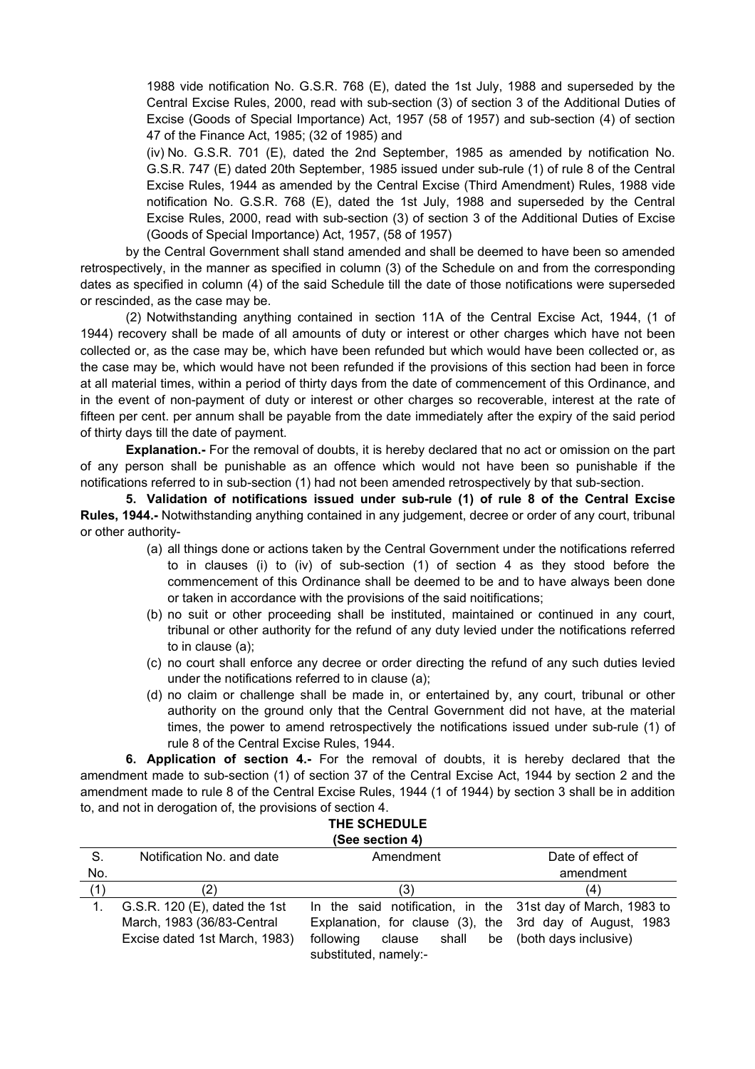1988 vide notification No. G.S.R. 768 (E), dated the 1st July, 1988 and superseded by the Central Excise Rules, 2000, read with sub-section (3) of section 3 of the Additional Duties of Excise (Goods of Special Importance) Act, 1957 (58 of 1957) and sub-section (4) of section 47 of the Finance Act, 1985; (32 of 1985) and

(iv) No. G.S.R. 701 (E), dated the 2nd September, 1985 as amended by notification No. G.S.R. 747 (E) dated 20th September, 1985 issued under sub-rule (1) of rule 8 of the Central Excise Rules, 1944 as amended by the Central Excise (Third Amendment) Rules, 1988 vide notification No. G.S.R. 768 (E), dated the 1st July, 1988 and superseded by the Central Excise Rules, 2000, read with sub-section (3) of section 3 of the Additional Duties of Excise (Goods of Special Importance) Act, 1957, (58 of 1957)

by the Central Government shall stand amended and shall be deemed to have been so amended retrospectively, in the manner as specified in column (3) of the Schedule on and from the corresponding dates as specified in column (4) of the said Schedule till the date of those notifications were superseded or rescinded, as the case may be.

(2) Notwithstanding anything contained in section 11A of the Central Excise Act, 1944, (1 of 1944) recovery shall be made of all amounts of duty or interest or other charges which have not been collected or, as the case may be, which have been refunded but which would have been collected or, as the case may be, which would have not been refunded if the provisions of this section had been in force at all material times, within a period of thirty days from the date of commencement of this Ordinance, and in the event of non-payment of duty or interest or other charges so recoverable, interest at the rate of fifteen per cent. per annum shall be payable from the date immediately after the expiry of the said period of thirty days till the date of payment.

**Explanation.-** For the removal of doubts, it is hereby declared that no act or omission on the part of any person shall be punishable as an offence which would not have been so punishable if the notifications referred to in sub-section (1) had not been amended retrospectively by that sub-section.

**5. Validation of notifications issued under sub-rule (1) of rule 8 of the Central Excise Rules, 1944.-** Notwithstanding anything contained in any judgement, decree or order of any court, tribunal or other authority-

- (a) all things done or actions taken by the Central Government under the notifications referred to in clauses (i) to (iv) of sub-section (1) of section 4 as they stood before the commencement of this Ordinance shall be deemed to be and to have always been done or taken in accordance with the provisions of the said noitifications;
- (b) no suit or other proceeding shall be instituted, maintained or continued in any court, tribunal or other authority for the refund of any duty levied under the notifications referred to in clause (a);
- (c) no court shall enforce any decree or order directing the refund of any such duties levied under the notifications referred to in clause (a);
- (d) no claim or challenge shall be made in, or entertained by, any court, tribunal or other authority on the ground only that the Central Government did not have, at the material times, the power to amend retrospectively the notifications issued under sub-rule (1) of rule 8 of the Central Excise Rules, 1944.

**6. Application of section 4.-** For the removal of doubts, it is hereby declared that the amendment made to sub-section (1) of section 37 of the Central Excise Act, 1944 by section 2 and the amendment made to rule 8 of the Central Excise Rules, 1944 (1 of 1944) by section 3 shall be in addition to, and not in derogation of, the provisions of section 4.

| THE SCHEDULE              |           |                   |  |  |
|---------------------------|-----------|-------------------|--|--|
| (See section 4)           |           |                   |  |  |
| Notification No. and date | Amendment | Date of effect of |  |  |
|                           |           | amendment         |  |  |
|                           |           |                   |  |  |

S.

| No. |                                 |                                                             | amendment                |
|-----|---------------------------------|-------------------------------------------------------------|--------------------------|
| (1) | (2)                             | (3)                                                         | (4)                      |
|     | G.S.R. $120$ (E), dated the 1st | In the said notification, in the 31st day of March, 1983 to |                          |
|     | March, 1983 (36/83-Central      | Explanation, for clause (3), the 3rd day of August, 1983    |                          |
|     | Excise dated 1st March, 1983)   | shall<br>following<br>clause                                | be (both days inclusive) |
|     |                                 | substituted, namely:-                                       |                          |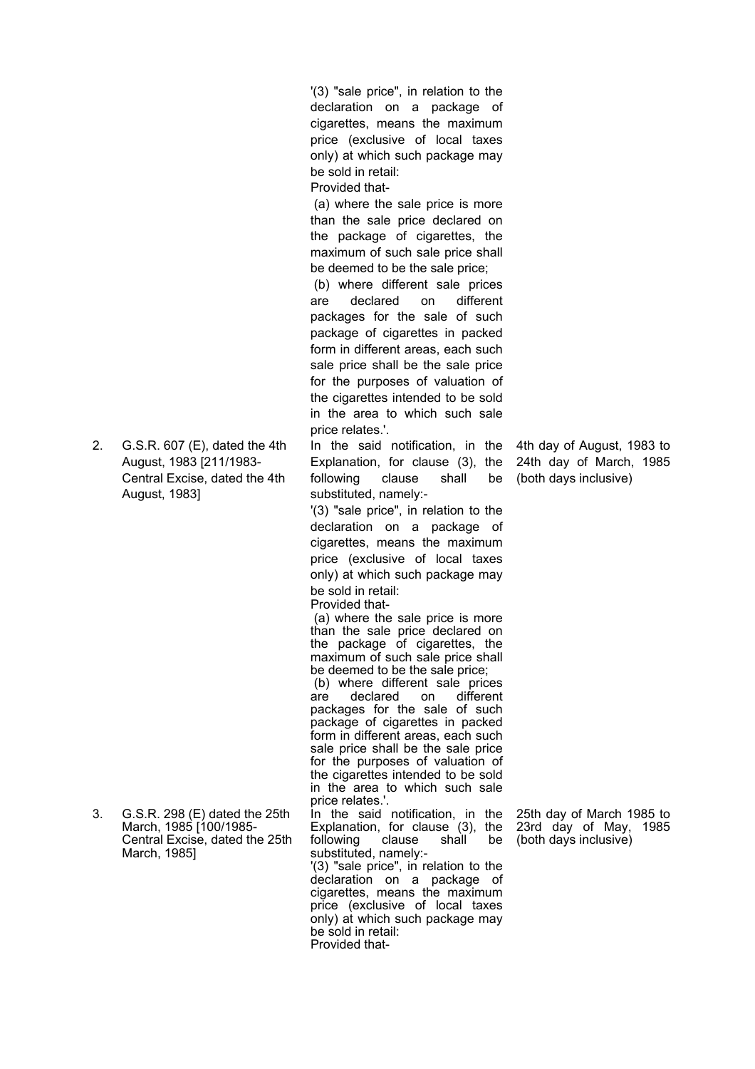'(3) "sale price", in relation to the declaration on a package of cigarettes, means the maximum price (exclusive of local taxes only) at which such package may be sold in retail:

Provided that-

(a) where the sale price is more than the sale price declared on the package of cigarettes, the maximum of such sale price shall be deemed to be the sale price;

(b) where different sale prices are declared on different packages for the sale of such package of cigarettes in packed form in different areas, each such sale price shall be the sale price for the purposes of valuation of the cigarettes intended to be sold in the area to which such sale price relates.'.

In the said notification, in the Explanation, for clause (3), the following clause shall be substituted, namely:-

'(3) "sale price", in relation to the declaration on a package of cigarettes, means the maximum price (exclusive of local taxes only) at which such package may be sold in retail:

Provided that- (a) where the sale price is more than the sale price declared on the package of cigarettes, the maximum of such sale price shall be deemed to be the sale price;

(b) where different sale prices<br>are declared on different are declared on packages for the sale of such package of cigarettes in packed form in different areas, each such sale price shall be the sale price for the purposes of valuation of the cigarettes intended to be sold in the area to which such sale price relates.'.

In the said notification, in the Explanation, for clause (3), the following clause shall be substituted, namely:-

'(3) "sale price", in relation to the declaration on a package of cigarettes, means the maximum price (exclusive of local taxes only) at which such package may be sold in retail: Provided that4th day of August, 1983 to 24th day of March, 1985 (both days inclusive)

25th day of March 1985 to 23rd day of May, 1985 (both days inclusive)

2. G.S.R. 607 (E), dated the 4th August, 1983 [211/1983- Central Excise, dated the 4th August, 1983]

3. G.S.R. 298 (E) dated the 25th March, 1985 [100/1985-Central Excise, dated the 25th March, 1985]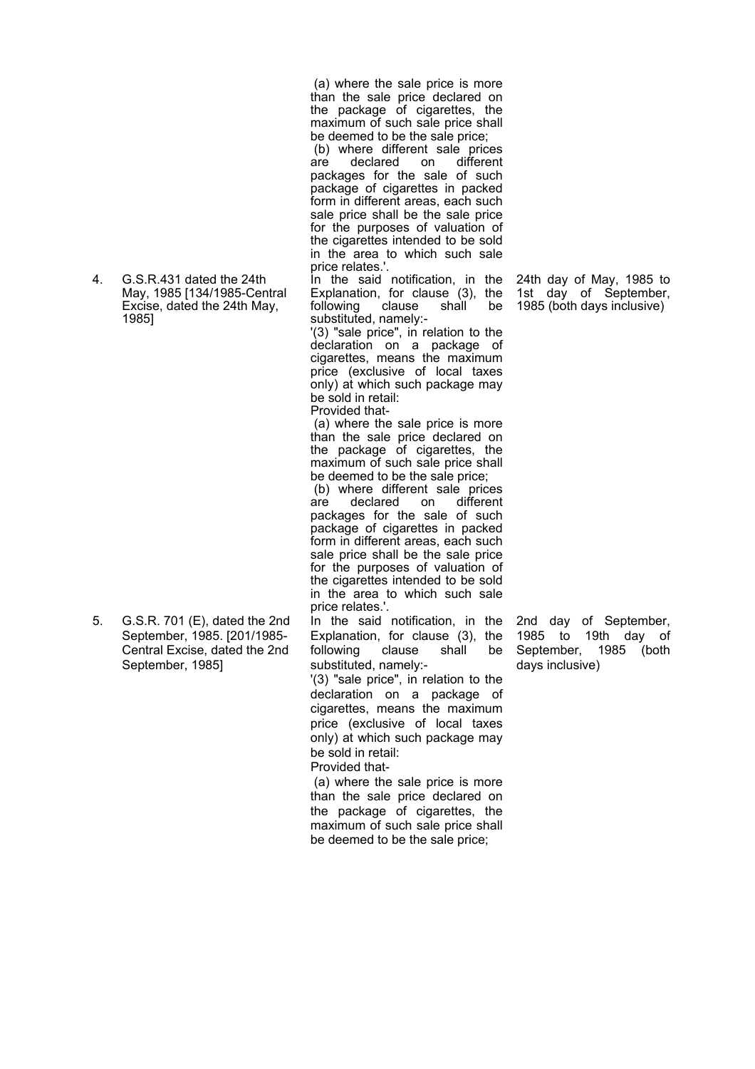4. G.S.R.431 dated the 24th May, 1985 [134/1985-Central Excise, dated the 24th May, 1985]

5. G.S.R. 701 (E), dated the 2nd September, 1985. [201/1985- Central Excise, dated the 2nd September, 1985]

(a) where the sale price is more than the sale price declared on the package of cigarettes, the maximum of such sale price shall be deemed to be the sale price;

(b) where different sale prices are declared on different packages for the sale of such package of cigarettes in packed form in different areas, each such sale price shall be the sale price for the purposes of valuation of the cigarettes intended to be sold in the area to which such sale price relates.'.

In the said notification, in the Explanation, for clause (3), the following clause shall be substituted, namely:-

'(3) "sale price", in relation to the declaration on a package of cigarettes, means the maximum price (exclusive of local taxes only) at which such package may be sold in retail: Provided that-

(a) where the sale price is more than the sale price declared on the package of cigarettes, the maximum of such sale price shall be deemed to be the sale price;

(b) where different sale prices are declared on different packages for the sale of such package of cigarettes in packed form in different areas, each such sale price shall be the sale price for the purposes of valuation of the cigarettes intended to be sold in the area to which such sale price relates.'.

In the said notification, in the Explanation, for clause (3), the following clause shall be substituted, namely:-

'(3) "sale price", in relation to the declaration on a package of cigarettes, means the maximum price (exclusive of local taxes only) at which such package may be sold in retail: Provided that-

(a) where the sale price is more than the sale price declared on the package of cigarettes, the maximum of such sale price shall be deemed to be the sale price;

24th day of May, 1985 to 1st day of September, 1985 (both days inclusive)

2nd day of September, 1985 to 19th day of September, 1985 (both days inclusive)